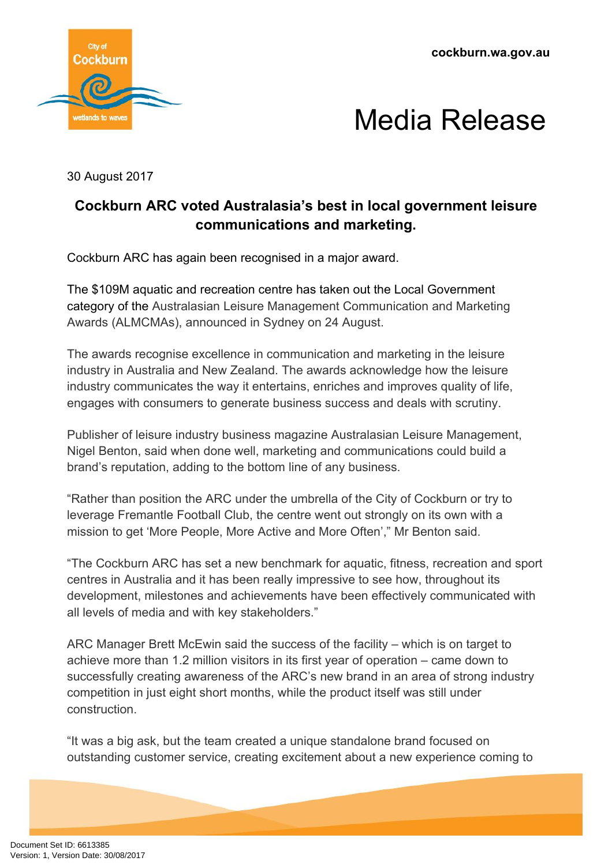**cockburn.wa.gov.au**





30 August 2017

## **Cockburn ARC voted Australasia's best in local government leisure communications and marketing.**

Cockburn ARC has again been recognised in a major award.

The \$109M aquatic and recreation centre has taken out the Local Government category of the Australasian Leisure Management Communication and Marketing Awards (ALMCMAs), announced in Sydney on 24 August.

The awards recognise excellence in communication and marketing in the leisure industry in Australia and New Zealand. The awards acknowledge how the leisure industry communicates the way it entertains, enriches and improves quality of life, engages with consumers to generate business success and deals with scrutiny.

Publisher of leisure industry business magazine Australasian Leisure Management, Nigel Benton, said when done well, marketing and communications could build a brand's reputation, adding to the bottom line of any business.

"Rather than position the ARC under the umbrella of the City of Cockburn or try to leverage Fremantle Football Club, the centre went out strongly on its own with a mission to get 'More People, More Active and More Often'," Mr Benton said.

"The Cockburn ARC has set a new benchmark for aquatic, fitness, recreation and sport centres in Australia and it has been really impressive to see how, throughout its development, milestones and achievements have been effectively communicated with all levels of media and with key stakeholders."

ARC Manager Brett McEwin said the success of the facility – which is on target to achieve more than 1.2 million visitors in its first year of operation – came down to successfully creating awareness of the ARC's new brand in an area of strong industry competition in just eight short months, while the product itself was still under construction.

"It was a big ask, but the team created a unique standalone brand focused on outstanding customer service, creating excitement about a new experience coming to